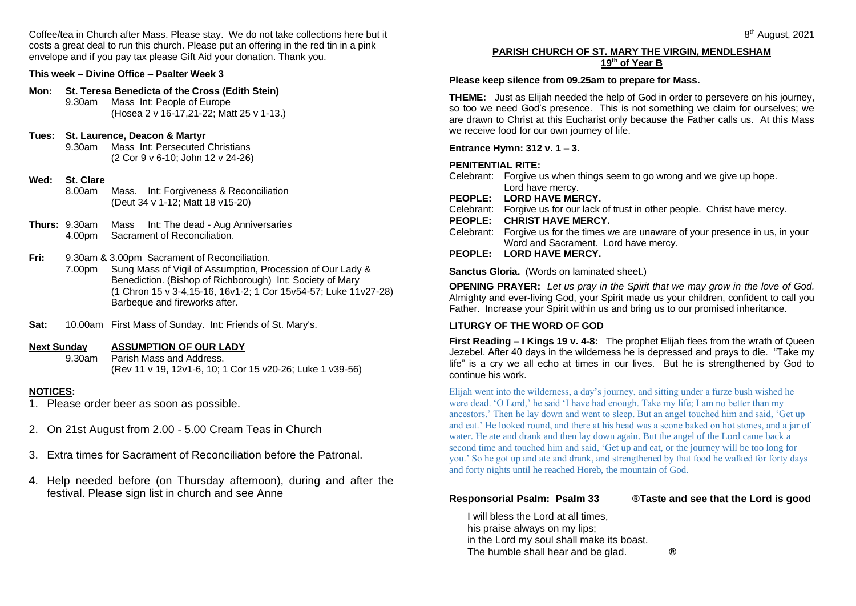Coffee/tea in Church after Mass. Please stay. We do not take collections here but it costs a great deal to run this church. Please put an offering in the red tin in a pink envelope and if you pay tax please Gift Aid your donation. Thank you.

# **This week – Divine Office – Psalter Week 3**

#### **Mon: St. Teresa Benedicta of the Cross (Edith Stein)** 9.30am Mass Int: People of Europe

(Hosea 2 v 16-17,21-22; Matt 25 v 1-13.)

# **Tues: St. Laurence, Deacon & Martyr**

9.30am Mass Int: Persecuted Christians (2 Cor 9 v 6-10; John 12 v 24-26)

# **Wed: St. Clare**

- 8.00am Mass. Int: Forgiveness & Reconciliation (Deut 34 v 1-12; Matt 18 v15-20)
- **Thurs:** 9.30am Mass Int: The dead Aug Anniversaries 4.00pm Sacrament of Reconciliation.

# **Fri:** 9.30am & 3.00pm Sacrament of Reconciliation.

- 7.00pm Sung Mass of Vigil of Assumption, Procession of Our Lady & Benediction. (Bishop of Richborough) Int: Society of Mary (1 Chron 15 v 3-4,15-16, 16v1-2; 1 Cor 15v54-57; Luke 11v27-28) Barbeque and fireworks after.
- **Sat:** 10.00am First Mass of Sunday. Int: Friends of St. Mary's.

#### **Next Sunday ASSUMPTION OF OUR LADY**

9.30am Parish Mass and Address. (Rev 11 v 19, 12v1-6, 10; 1 Cor 15 v20-26; Luke 1 v39-56)

# **NOTICES:**

- 1. Please order beer as soon as possible.
- 2. On 21st August from 2.00 5.00 Cream Teas in Church
- 3. Extra times for Sacrament of Reconciliation before the Patronal.
- 4. Help needed before (on Thursday afternoon), during and after the festival. Please sign list in church and see Anne

#### **PARISH CHURCH OF ST. MARY THE VIRGIN, MENDLESHAM 19th of Year B**

# **Please keep silence from 09.25am to prepare for Mass.**

**THEME:** Just as Elijah needed the help of God in order to persevere on his journey, so too we need God's presence. This is not something we claim for ourselves; we are drawn to Christ at this Eucharist only because the Father calls us. At this Mass we receive food for our own journey of life.

**Entrance Hymn: 312 v. 1 – 3.**

### **PENITENTIAL RITE:**

- Celebrant: Forgive us when things seem to go wrong and we give up hope. Lord have mercy.
- **PEOPLE: LORD HAVE MERCY.**
- Celebrant: Forgive us for our lack of trust in other people. Christ have mercy.
- **PEOPLE: CHRIST HAVE MERCY.**
- Celebrant: Forgive us for the times we are unaware of your presence in us, in your Word and Sacrament. Lord have mercy.
- **PEOPLE: LORD HAVE MERCY.**

**Sanctus Gloria.** (Words on laminated sheet.)

**OPENING PRAYER:** *Let us pray in the Spirit that we may grow in the love of God.* Almighty and ever-living God, your Spirit made us your children, confident to call you Father. Increase your Spirit within us and bring us to our promised inheritance.

#### **LITURGY OF THE WORD OF GOD**

**First Reading – I Kings 19 v. 4-8:** The prophet Elijah flees from the wrath of Queen Jezebel. After 40 days in the wilderness he is depressed and prays to die. "Take my life" is a cry we all echo at times in our lives. But he is strengthened by God to continue his work.

Elijah went into the wilderness, a day's journey, and sitting under a furze bush wished he were dead. 'O Lord,' he said 'I have had enough. Take my life; I am no better than my ancestors.' Then he lay down and went to sleep. But an angel touched him and said, 'Get up and eat.' He looked round, and there at his head was a scone baked on hot stones, and a jar of water. He ate and drank and then lay down again. But the angel of the Lord came back a second time and touched him and said, 'Get up and eat, or the journey will be too long for you.' So he got up and ate and drank, and strengthened by that food he walked for forty days and forty nights until he reached Horeb, the mountain of God.

# **Responsorial Psalm: Psalm 33 ®Taste and see that the Lord is good**

I will bless the Lord at all times, his praise always on my lips; in the Lord my soul shall make its boast. The humble shall hear and be glad. **®**